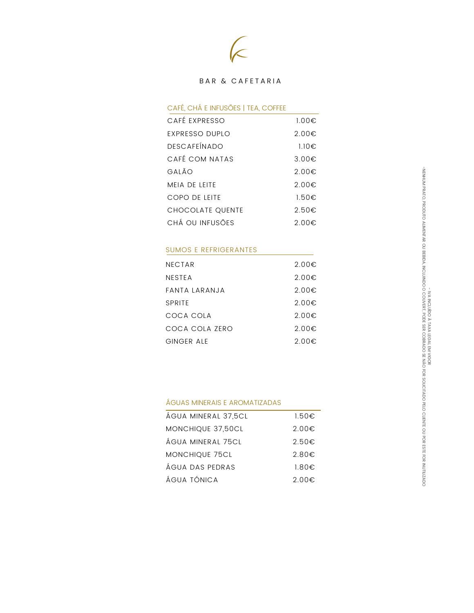

### BAR & CAFETARIA

## CAFE, CHA E INFUSOES | IEA, COFFEE

| CAFÉ EXPRESSO         | $1.00 \in$      |
|-----------------------|-----------------|
| <b>EXPRESSO DUPLO</b> | $2.00 \in$      |
| <b>DESCAFEÍNADO</b>   | $1.10 \in$      |
| CAFÉ COM NATAS        | $3.00 \in$      |
| GALÃO                 | $2.00 \epsilon$ |
| <b>MFIA DE IFITE</b>  | $2.00 \epsilon$ |
| COPO DE LEITE         | 1.50€           |
| CHOCOLATE QUENTE      | $2.50 \in$      |
| CHÁ OU INFUSÕES       | $2.00 \epsilon$ |
|                       |                 |

### SUMOS E REFRIGERANTES

| 2.00 $\epsilon$ |
|-----------------|
| 2.00 $\epsilon$ |
| 2.00€           |
| $2.00 \in$      |
| $2.00 \epsilon$ |
| $2.00 \epsilon$ |
| $2.00 \in$      |
|                 |

### AGUAS MINERAIS E AROMATIZADAS

| ÁGUA MINERAL 37,5CL | $1.50 \epsilon$ |
|---------------------|-----------------|
| MONCHIQUE 37,50CL   | $2.00 \epsilon$ |
| ÁGUA MINERAL 75CL   | $2.50 \epsilon$ |
| MONCHIQUE 75CL      | $2.80 \in$      |
| ÁGUA DAS PEDRAS     | $1.80 \in$      |
| ÁGUA TÓNICA         | $2.00 \in$      |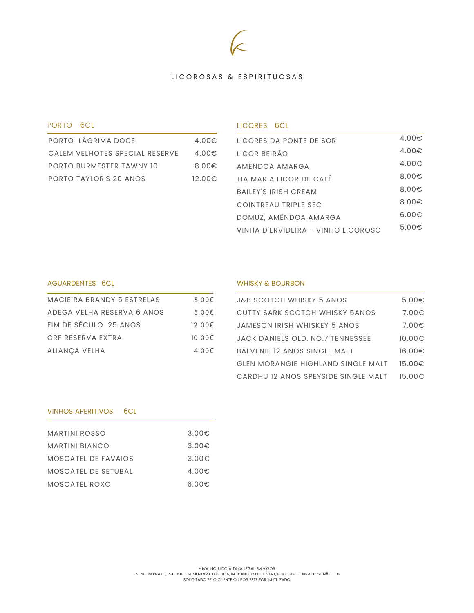# LICOROSAS & ESPIRITUOSAS

### PORTO 6CL

| PORTO LÁGRIMA DOCE             | $4.00 \in$      |
|--------------------------------|-----------------|
| CALEM VELHOTES SPECIAL RESERVE | $4.00 \epsilon$ |
| PORTO BURMESTER TAWNY 10       | $8.00 \in$      |
| PORTO TAYLOR'S 20 ANOS         | 12.00€          |

### LICORES 6CL

| HCORES DA PONTE DE SOR             | $4.00 \in$      |
|------------------------------------|-----------------|
| <b>HCOR BEIRÃO</b>                 | 4.00€           |
| AMÊNDOA AMARGA                     | $4.00 \in$      |
| TIA MARIA LICOR DE CAFÉ            | 8.00 $\epsilon$ |
| <b>BAILEY'S IRISH CREAM</b>        | $8.00 \epsilon$ |
| COINTREAU TRIPLE SEC               | $8.00 \epsilon$ |
| DOMUZ, AMÊNDOA AMARGA              | 6.00€           |
| VINHA D'ERVIDEIRA - VINHO LICOROSO | $5.00 \in$      |
|                                    |                 |

## AGUARDENTES 6CL **WHISKY & BOURBON**

| MACIFIRA BRANDY 5 FSTRFIAS | 3.00€           |
|----------------------------|-----------------|
| ADEGA VEIHA RESERVA 6 ANOS | 5.00€           |
| FIM DE SÉCULO 25 ANOS      | 12.00€          |
| CRF RESERVA EXTRA          | 10.00€          |
| ALIANÇA VELHA              | 4.00 $\epsilon$ |

| <b>J&amp;B SCOTCH WHISKY 5 ANOS</b>       | 5.00€      |
|-------------------------------------------|------------|
| CUTTY SARK SCOTCH WHISKY 5ANOS            | $7.00 \in$ |
| JAMESON IRISH WHISKEY 5 ANOS              | $7.00 \in$ |
| JACK DANIELS OLD. NO.7 TENNESSEE          | 10.00€     |
| BALVENIE 12 ANOS SINGLE MALT              | 16.00€     |
| <b>GLEN MORANGIE HIGHLAND SINGLE MALT</b> | 15.00€     |
| CARDHU 12 ANOS SPEYSIDE SINGLE MALT       | 15.00€     |

## VINHOS APERITIVOS 6CL

| MARTINI ROSSO       | 3.00€ |
|---------------------|-------|
| MARTINI BIANCO      | 3.00€ |
| MOSCATEL DE FAVAIOS | 3.00€ |
| MOSCATEL DE SETURAL | 4.00€ |
| MOSCATEL ROXO       | െ ററ€ |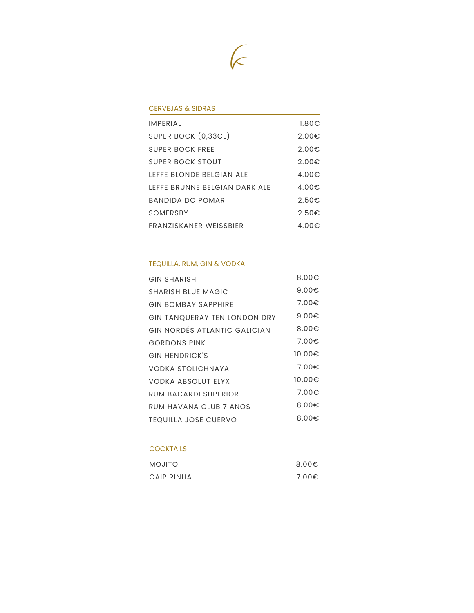

### CERVEJAS & SIDRAS

| <b>IMPERIAL</b>               | $1.80 \epsilon$ |
|-------------------------------|-----------------|
| SUPER BOCK (0,33CL)           | $2.00 \epsilon$ |
| SUPER BOCK FRFF               | 2.00€           |
| SUPER BOCK STOUT              | 2.00€           |
| IFFFF BLONDE BELGIAN ALF      | $4.00 \in$      |
| IFFFF BRUNNF BFIGIAN DARK AIF | 4.00 $\epsilon$ |
| BANDIDA DO POMAR              | 2.50€           |
| SOMFRSBY                      | $2.50 \in$      |
| FRANZISKANFR WFISSBIFR        | 4.00 $\epsilon$ |

## TEQUILLA, RUM, GIN & VODKA

| <b>GIN SHARISH</b>           | $8.00 \in$      |
|------------------------------|-----------------|
| <b>SHARISH BLUE MAGIC</b>    | 9.00 $\epsilon$ |
| <b>GIN BOMBAY SAPPHIRE</b>   | 7.00€           |
| GIN TANQUERAY TEN LONDON DRY | 9.00 $\epsilon$ |
| GIN NORDÉS ATLANTIC GALICIAN | 8.00 $\epsilon$ |
| <b>GORDONS PINK</b>          | 7.00€           |
| <b>GIN HENDRICK'S</b>        | 10.00€          |
| <b>VODKA STOLICHNAYA</b>     | 7.00€           |
| <b>VODKA ABSOLUT ELYX</b>    | 10.00€          |
| RUM BACARDI SUPERIOR         | 7.00€           |
| RUM HAVANA CIUB 7 ANOS       | 8.00 $\epsilon$ |
| <b>TEQUILLA JOSE CUERVO</b>  | 8.00 $\epsilon$ |

### **COCKTAILS**

| <b>OTILOM</b> | 8.00 $\epsilon$ |
|---------------|-----------------|
| CAIPIRINHA    | 7.00€           |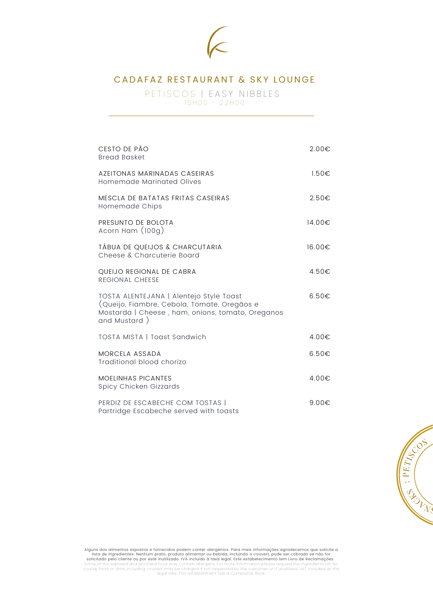

# CADAFAZ RESTAURANT & SKY LOUNGE

PETISCOS | EASY NIBBLES  $15 H 00 - 22 H 00$ 

| CESTO DE PÃO<br><b>Bread Basket</b>                                                                                                                        | 2.00€           |
|------------------------------------------------------------------------------------------------------------------------------------------------------------|-----------------|
| AZEITONAS MARINADAS CASEIRAS<br>Homemade Marinated Olives                                                                                                  | $1.50 \epsilon$ |
| MESCLA DE BATATAS FRITAS CASEIRAS<br>Homemade Chips                                                                                                        | 2.50€           |
| PRESUNTO DE BOLOTA<br>Acorn Ham (100g)                                                                                                                     | 14.00€          |
| TÁBUA DE QUEIJOS & CHARCUTARIA<br>Cheese & Charcuterie Board                                                                                               | 16.00€          |
| QUEIJO REGIONAL DE CABRA<br><b>REGIONAL CHEESE</b>                                                                                                         | 4.50€           |
| TOSTA ALENTEJANA   Alentejo Style Toast<br>(Queijo, Fiambre, Cebola, Tomate, Oregãos e<br>Mostarda   Cheese, ham, onions, tomato, Oreganos<br>and Mustard) | $6.50 \in$      |
| TOSTA MISTA   Toast Sandwich                                                                                                                               | $4.00 \in$      |
| MORCELA ASSADA<br>Traditional blood chorizo                                                                                                                | $6.50 \in$      |
| <b>MOELINHAS PICANTES</b><br>Spicy Chicken Gizzards                                                                                                        | $4.00 \in$      |
| PERDIZ DE ESCABECHE COM TOSTAS  <br>Partridge Escabeche served with toasts                                                                                 | 9.00 $\epsilon$ |



Alguns dos alimentos expostos e fornecidos podem conter alergênios. Para mais informações agradecemos que solicite a<br>lista de ingredientes. Nenhum prato, produto alimentar ou bebida, incluindo o couvert, pode ser cobrado s